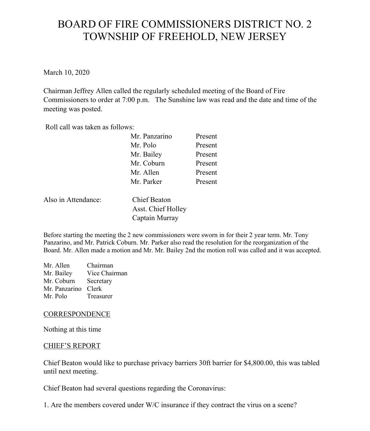# BOARD OF FIRE COMMISSIONERS DISTRICT NO. 2 TOWNSHIP OF FREEHOLD, NEW JERSEY

March 10, 2020

Chairman Jeffrey Allen called the regularly scheduled meeting of the Board of Fire Commissioners to order at 7:00 p.m. The Sunshine law was read and the date and time of the meeting was posted.

Roll call was taken as follows:

| Mr. Panzarino | Present |
|---------------|---------|
| Mr. Polo      | Present |
| Mr. Bailey    | Present |
| Mr. Coburn    | Present |
| Mr. Allen     | Present |
| Mr. Parker    | Present |
|               |         |

Also in Attendance: Chief Beaton

Asst. Chief Holley Captain Murray

Before starting the meeting the 2 new commissioners were sworn in for their 2 year term. Mr. Tony Panzarino, and Mr. Patrick Coburn. Mr. Parker also read the resolution for the reorganization of the Board. Mr. Allen made a motion and Mr. Mr. Bailey 2nd the motion roll was called and it was accepted.

Mr. Allen Chairman Mr. Bailey Vice Chairman Mr. Coburn Secretary Mr. Panzarino Clerk Mr. Polo Treasurer

## **CORRESPONDENCE**

Nothing at this time

#### CHIEF'S REPORT

Chief Beaton would like to purchase privacy barriers 30ft barrier for \$4,800.00, this was tabled until next meeting.

Chief Beaton had several questions regarding the Coronavirus:

1. Are the members covered under W/C insurance if they contract the virus on a scene?